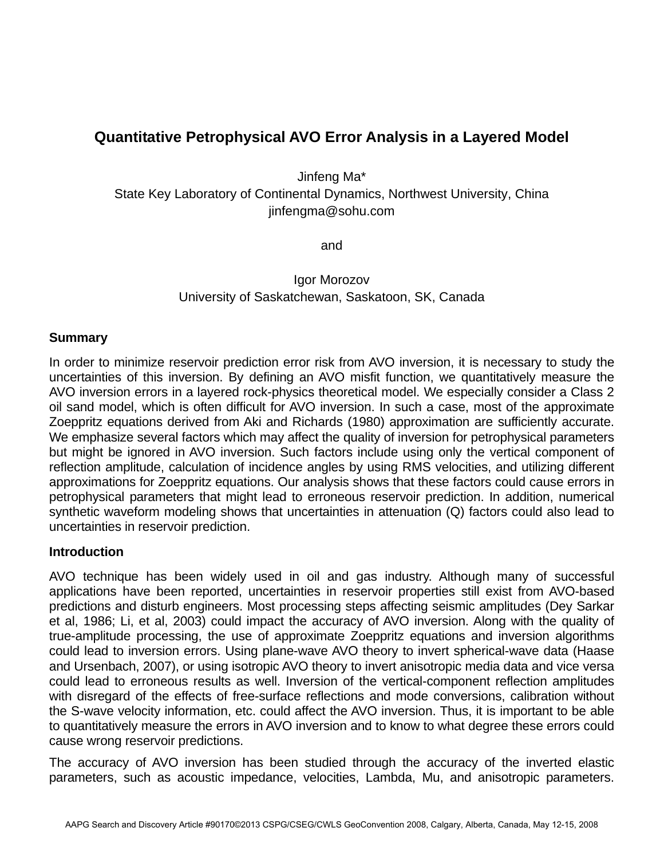# **Quantitative Petrophysical AVO Error Analysis in a Layered Model**

Jinfeng Ma\*

State Key Laboratory of Continental Dynamics, Northwest University, China jinfengma@sohu.com

and

Igor Morozov University of Saskatchewan, Saskatoon, SK, Canada

### **Summary**

In order to minimize reservoir prediction error risk from AVO inversion, it is necessary to study the uncertainties of this inversion. By defining an AVO misfit function, we quantitatively measure the AVO inversion errors in a layered rock-physics theoretical model. We especially consider a Class 2 oil sand model, which is often difficult for AVO inversion. In such a case, most of the approximate Zoeppritz equations derived from Aki and Richards (1980) approximation are sufficiently accurate. We emphasize several factors which may affect the quality of inversion for petrophysical parameters but might be ignored in AVO inversion. Such factors include using only the vertical component of reflection amplitude, calculation of incidence angles by using RMS velocities, and utilizing different approximations for Zoeppritz equations. Our analysis shows that these factors could cause errors in petrophysical parameters that might lead to erroneous reservoir prediction. In addition, numerical synthetic waveform modeling shows that uncertainties in attenuation (Q) factors could also lead to uncertainties in reservoir prediction.

#### **Introduction**

AVO technique has been widely used in oil and gas industry. Although many of successful applications have been reported, uncertainties in reservoir properties still exist from AVO-based predictions and disturb engineers. Most processing steps affecting seismic amplitudes (Dey Sarkar et al, 1986; Li, et al, 2003) could impact the accuracy of AVO inversion. Along with the quality of true-amplitude processing, the use of approximate Zoeppritz equations and inversion algorithms could lead to inversion errors. Using plane-wave AVO theory to invert spherical-wave data (Haase and Ursenbach, 2007), or using isotropic AVO theory to invert anisotropic media data and vice versa could lead to erroneous results as well. Inversion of the vertical-component reflection amplitudes with disregard of the effects of free-surface reflections and mode conversions, calibration without the S-wave velocity information, etc. could affect the AVO inversion. Thus, it is important to be able to quantitatively measure the errors in AVO inversion and to know to what degree these errors could cause wrong reservoir predictions.

The accuracy of AVO inversion has been studied through the accuracy of the inverted elastic parameters, such as acoustic impedance, velocities, Lambda, Mu, and anisotropic parameters.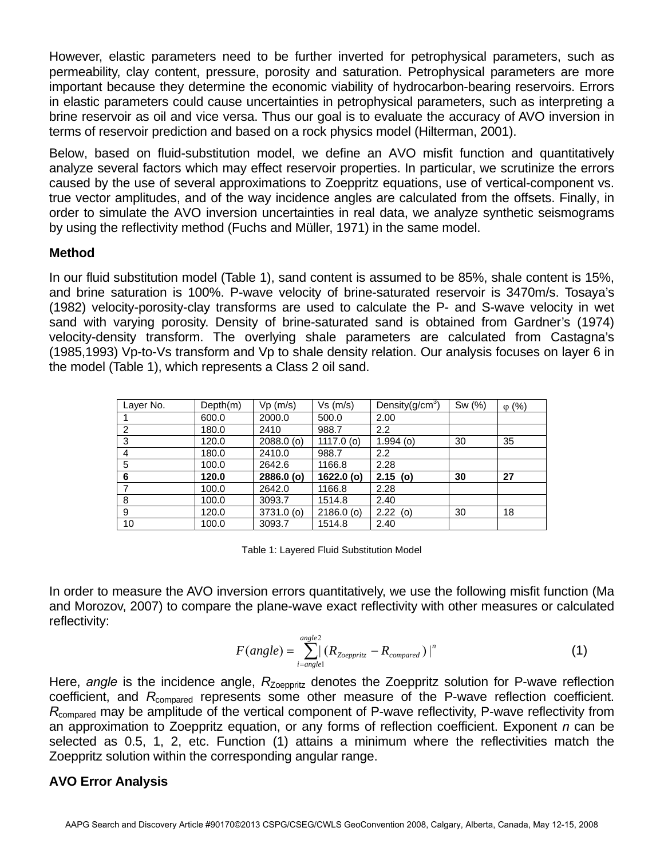However, elastic parameters need to be further inverted for petrophysical parameters, such as permeability, clay content, pressure, porosity and saturation. Petrophysical parameters are more important because they determine the economic viability of hydrocarbon-bearing reservoirs. Errors in elastic parameters could cause uncertainties in petrophysical parameters, such as interpreting a brine reservoir as oil and vice versa. Thus our goal is to evaluate the accuracy of AVO inversion in terms of reservoir prediction and based on a rock physics model (Hilterman, 2001).

Below, based on fluid-substitution model, we define an AVO misfit function and quantitatively analyze several factors which may effect reservoir properties. In particular, we scrutinize the errors caused by the use of several approximations to Zoeppritz equations, use of vertical-component vs. true vector amplitudes, and of the way incidence angles are calculated from the offsets. Finally, in order to simulate the AVO inversion uncertainties in real data, we analyze synthetic seismograms by using the reflectivity method (Fuchs and Müller, 1971) in the same model.

## **Method**

In our fluid substitution model (Table 1), sand content is assumed to be 85%, shale content is 15%, and brine saturation is 100%. P-wave velocity of brine-saturated reservoir is 3470m/s. Tosaya's (1982) velocity-porosity-clay transforms are used to calculate the P- and S-wave velocity in wet sand with varying porosity. Density of brine-saturated sand is obtained from Gardner's (1974) velocity-density transform. The overlying shale parameters are calculated from Castagna's (1985,1993) Vp-to-Vs transform and Vp to shale density relation. Our analysis focuses on layer 6 in the model (Table 1), which represents a Class 2 oil sand.

| Layer No. | Depth(m) | Vp(m/s)      | Vs(m/s)      | Density( $g/cm3$ ) | Sw (%) | $\varphi$ (%) |
|-----------|----------|--------------|--------------|--------------------|--------|---------------|
|           | 600.0    | 2000.0       | 500.0        | 2.00               |        |               |
| 2         | 180.0    | 2410         | 988.7        | 2.2                |        |               |
| 3         | 120.0    | $2088.0$ (o) | 1117.0 $(o)$ | $1.994$ (o)        | 30     | 35            |
| 4         | 180.0    | 2410.0       | 988.7        | 2.2                |        |               |
| 5         | 100.0    | 2642.6       | 1166.8       | 2.28               |        |               |
| 6         | 120.0    | 2886.0 (o)   | $1622.0$ (o) | $2.15$ (o)         | 30     | 27            |
|           | 100.0    | 2642.0       | 1166.8       | 2.28               |        |               |
| 8         | 100.0    | 3093.7       | 1514.8       | 2.40               |        |               |
| 9         | 120.0    | $3731.0$ (o) | $2186.0$ (o) | $2.22$ (o)         | 30     | 18            |
| 10        | 100.0    | 3093.7       | 1514.8       | 2.40               |        |               |

Table 1: Layered Fluid Substitution Model

In order to measure the AVO inversion errors quantitatively, we use the following misfit function (Ma and Morozov, 2007) to compare the plane-wave exact reflectivity with other measures or calculated reflectivity:

$$
F(\text{angle}) = \sum_{i=\text{angle}1}^{\text{angle2}} (R_{\text{Zoeppritz}} - R_{\text{compared}})^n
$$
 (1)

Here, *angle* is the incidence angle,  $R_{\text{Zoeportz}}$  denotes the Zoeppritz solution for P-wave reflection coefficient, and R<sub>compared</sub> represents some other measure of the P-wave reflection coefficient. *R*compared may be amplitude of the vertical component of P-wave reflectivity, P-wave reflectivity from an approximation to Zoeppritz equation, or any forms of reflection coefficient. Exponent *n* can be selected as 0.5, 1, 2, etc. Function (1) attains a minimum where the reflectivities match the Zoeppritz solution within the corresponding angular range.

## **AVO Error Analysis**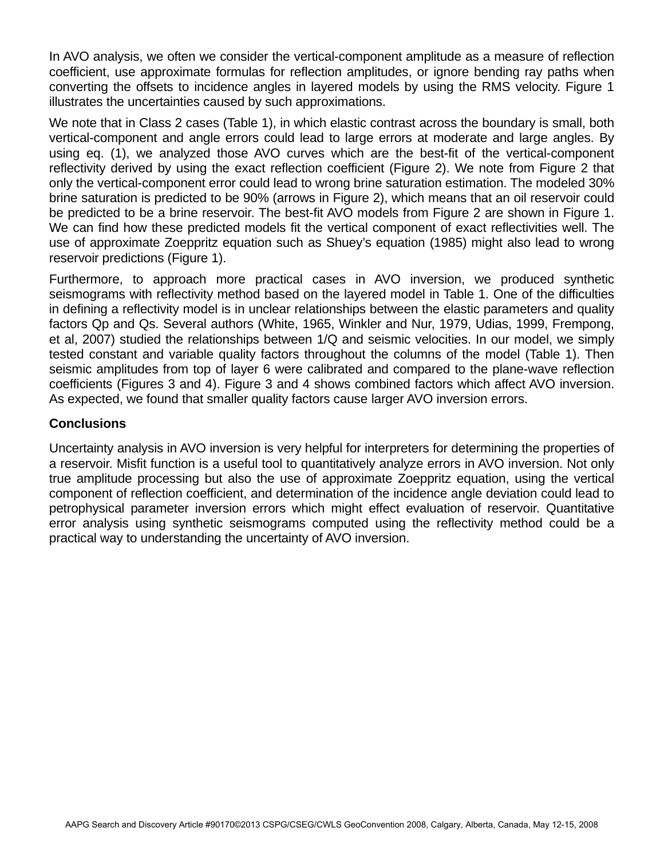In AVO analysis, we often we consider the vertical-component amplitude as a measure of reflection coefficient, use approximate formulas for reflection amplitudes, or ignore bending ray paths when converting the offsets to incidence angles in layered models by using the RMS velocity. Figure 1 illustrates the uncertainties caused by such approximations.

We note that in Class 2 cases (Table 1), in which elastic contrast across the boundary is small, both vertical-component and angle errors could lead to large errors at moderate and large angles. By using eq. (1), we analyzed those AVO curves which are the best-fit of the vertical-component reflectivity derived by using the exact reflection coefficient (Figure 2). We note from Figure 2 that only the vertical-component error could lead to wrong brine saturation estimation. The modeled 30% brine saturation is predicted to be 90% (arrows in Figure 2), which means that an oil reservoir could be predicted to be a brine reservoir. The best-fit AVO models from Figure 2 are shown in Figure 1. We can find how these predicted models fit the vertical component of exact reflectivities well. The use of approximate Zoeppritz equation such as Shuey's equation (1985) might also lead to wrong reservoir predictions (Figure 1).

Furthermore, to approach more practical cases in AVO inversion, we produced synthetic seismograms with reflectivity method based on the layered model in Table 1. One of the difficulties in defining a reflectivity model is in unclear relationships between the elastic parameters and quality factors Qp and Qs. Several authors (White, 1965, Winkler and Nur, 1979, Udias, 1999, Frempong, et al, 2007) studied the relationships between 1/Q and seismic velocities. In our model, we simply tested constant and variable quality factors throughout the columns of the model (Table 1). Then seismic amplitudes from top of layer 6 were calibrated and compared to the plane-wave reflection coefficients (Figures 3 and 4). Figure 3 and 4 shows combined factors which affect AVO inversion. As expected, we found that smaller quality factors cause larger AVO inversion errors.

## **Conclusions**

Uncertainty analysis in AVO inversion is very helpful for interpreters for determining the properties of a reservoir. Misfit function is a useful tool to quantitatively analyze errors in AVO inversion. Not only true amplitude processing but also the use of approximate Zoeppritz equation, using the vertical component of reflection coefficient, and determination of the incidence angle deviation could lead to petrophysical parameter inversion errors which might effect evaluation of reservoir. Quantitative error analysis using synthetic seismograms computed using the reflectivity method could be a practical way to understanding the uncertainty of AVO inversion.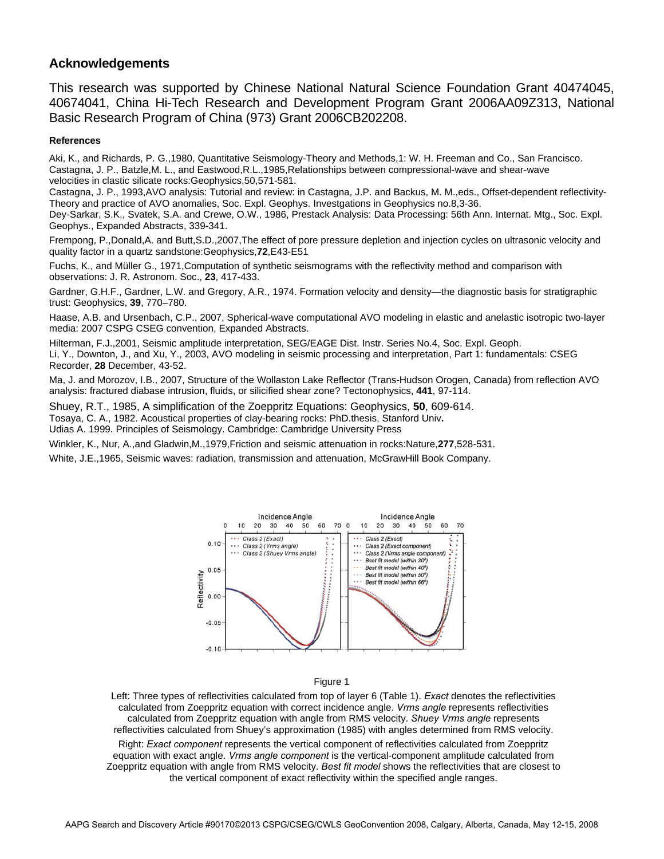#### **Acknowledgements**

This research was supported by Chinese National Natural Science Foundation Grant 40474045, 40674041, China Hi-Tech Research and Development Program Grant 2006AA09Z313, National Basic Research Program of China (973) Grant 2006CB202208.

#### **References**

Aki, K., and Richards, P. G.,1980, Quantitative Seismology-Theory and Methods,1: W. H. Freeman and Co., San Francisco. Castagna, J. P., Batzle,M. L., and Eastwood,R.L.,1985,Relationships between compressional-wave and shear-wave velocities in clastic silicate rocks:Geophysics,50,571-581.

Castagna, J. P., 1993,AVO analysis: Tutorial and review: in Castagna, J.P. and Backus, M. M.,eds., Offset-dependent reflectivity-Theory and practice of AVO anomalies, Soc. Expl. Geophys. Investgations in Geophysics no.8,3-36.

Dey-Sarkar, S.K., Svatek, S.A. and Crewe, O.W., 1986, Prestack Analysis: Data Processing: 56th Ann. Internat. Mtg., Soc. Expl. Geophys., Expanded Abstracts, 339-341.

Frempong, P.,Donald,A. and Butt,S.D.,2007,The effect of pore pressure depletion and injection cycles on ultrasonic velocity and quality factor in a quartz sandstone:Geophysics,**72**,E43-E51

Fuchs, K., and Müller G., 1971,Computation of synthetic seismograms with the reflectivity method and comparison with observations: J. R. Astronom. Soc., **23**, 417-433.

Gardner, G.H.F., Gardner, L.W. and Gregory, A.R., 1974. Formation velocity and density—the diagnostic basis for stratigraphic trust: Geophysics, **39**, 770–780.

Haase, A.B. and Ursenbach, C.P., 2007, Spherical-wave computational AVO modeling in elastic and anelastic isotropic two-layer media: 2007 CSPG CSEG convention, Expanded Abstracts.

Hilterman, F.J.,2001, Seismic amplitude interpretation, SEG/EAGE Dist. Instr. Series No.4, Soc. Expl. Geoph. Li, Y., Downton, J., and Xu, Y., 2003, AVO modeling in seismic processing and interpretation, Part 1: fundamentals: CSEG Recorder, **28** December, 43-52.

Ma, J. and Morozov, I.B., 2007, Structure of the Wollaston Lake Reflector (Trans-Hudson Orogen, Canada) from reflection AVO analysis: fractured diabase intrusion, fluids, or silicified shear zone? Tectonophysics, **441**, 97-114.

Shuey, R.T., 1985, A simplification of the Zoeppritz Equations: Geophysics, **50**, 609-614.

Tosaya, C. A., 1982. Acoustical properties of clay-bearing rocks: PhD.thesis, Stanford Univ**.**

Udias A. 1999. Principles of Seismology. Cambridge: Cambridge University Press

Winkler, K., Nur, A.,and Gladwin,M.,1979,Friction and seismic attenuation in rocks:Nature,**277**,528-531.

White, J.E.,1965, Seismic waves: radiation, transmission and attenuation, McGrawHill Book Company.



Figure 1

Left: Three types of reflectivities calculated from top of layer 6 (Table 1). *Exact* denotes the reflectivities calculated from Zoeppritz equation with correct incidence angle. *Vrms angle* represents reflectivities calculated from Zoeppritz equation with angle from RMS velocity. *Shuey Vrms angle* represents reflectivities calculated from Shuey's approximation (1985) with angles determined from RMS velocity.

Right: *Exact component* represents the vertical component of reflectivities calculated from Zoeppritz equation with exact angle. *Vrms angle component* is the vertical-component amplitude calculated from Zoeppritz equation with angle from RMS velocity. *Best fit model* shows the reflectivities that are closest to the vertical component of exact reflectivity within the specified angle ranges.